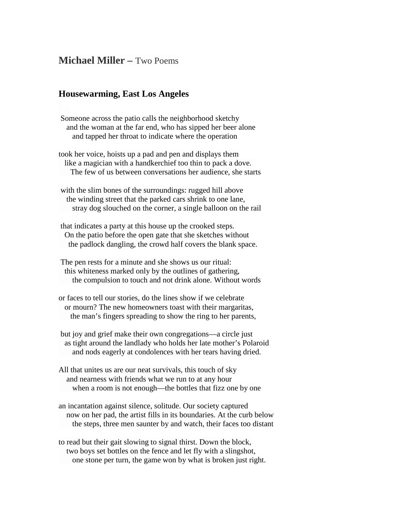## **Michael Miller –** Two Poems

## **Housewarming, East Los Angeles**

- Someone across the patio calls the neighborhood sketchy and the woman at the far end, who has sipped her beer alone and tapped her throat to indicate where the operation
- took her voice, hoists up a pad and pen and displays them like a magician with a handkerchief too thin to pack a dove. The few of us between conversations her audience, she starts
- with the slim bones of the surroundings: rugged hill above the winding street that the parked cars shrink to one lane, stray dog slouched on the corner, a single balloon on the rail
- that indicates a party at this house up the crooked steps. On the patio before the open gate that she sketches without the padlock dangling, the crowd half covers the blank space.
- The pen rests for a minute and she shows us our ritual: this whiteness marked only by the outlines of gathering, the compulsion to touch and not drink alone. Without words
- or faces to tell our stories, do the lines show if we celebrate or mourn? The new homeowners toast with their margaritas, the man's fingers spreading to show the ring to her parents,
- but joy and grief make their own congregations—a circle just as tight around the landlady who holds her late mother's Polaroid and nods eagerly at condolences with her tears having dried.
- All that unites us are our neat survivals, this touch of sky and nearness with friends what we run to at any hour when a room is not enough—the bottles that fizz one by one
- an incantation against silence, solitude. Our society captured now on her pad, the artist fills in its boundaries. At the curb below the steps, three men saunter by and watch, their faces too distant
- to read but their gait slowing to signal thirst. Down the block, two boys set bottles on the fence and let fly with a slingshot, one stone per turn, the game won by what is broken just right.